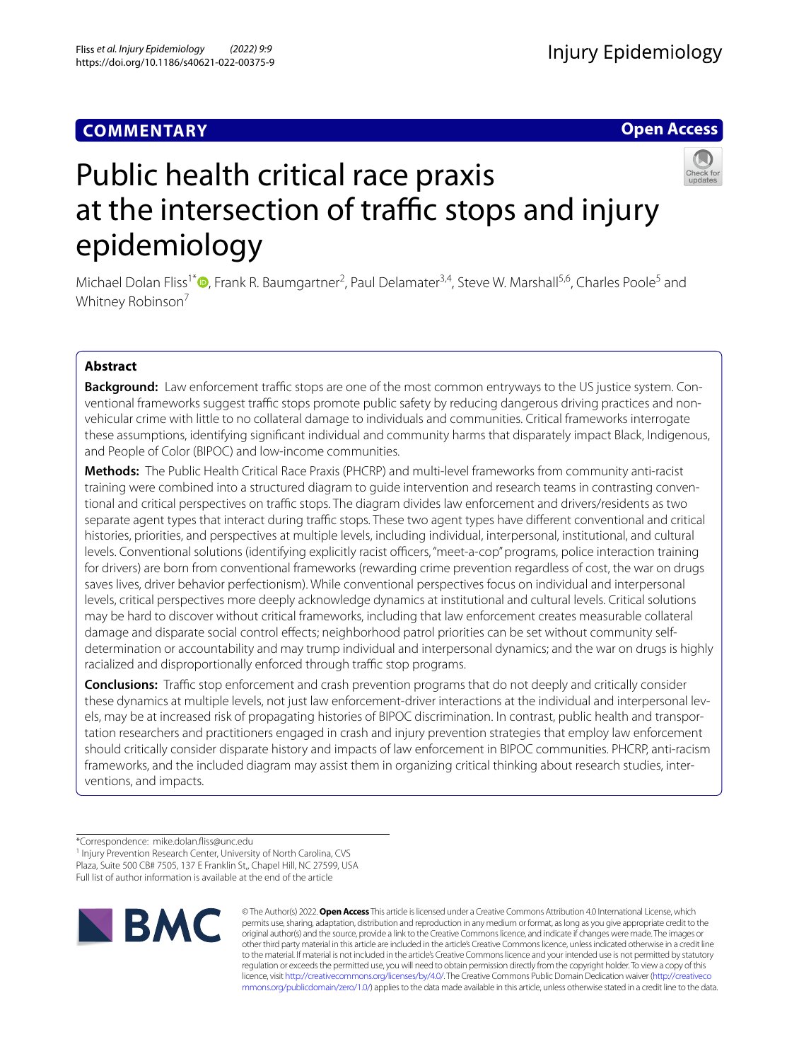# **COMMENTARY**

# **Open Access**



# Public health critical race praxis at the intersection of traffic stops and injury epidemiology

Michael Dolan Fliss<sup>1[\\*](http://orcid.org/0000-0002-3194-7171)</sup><sup>®</sup>, Frank R. Baumgartner<sup>2</sup>, Paul Delamater<sup>3,4</sup>, Steve W. Marshall<sup>5,6</sup>, Charles Poole<sup>5</sup> and Whitney Robinson<sup>7</sup>

# **Abstract**

**Background:** Law enforcement traffic stops are one of the most common entryways to the US justice system. Conventional frameworks suggest traffic stops promote public safety by reducing dangerous driving practices and nonvehicular crime with little to no collateral damage to individuals and communities. Critical frameworks interrogate these assumptions, identifying signifcant individual and community harms that disparately impact Black, Indigenous, and People of Color (BIPOC) and low-income communities.

**Methods:** The Public Health Critical Race Praxis (PHCRP) and multi-level frameworks from community anti-racist training were combined into a structured diagram to guide intervention and research teams in contrasting conventional and critical perspectives on traffic stops. The diagram divides law enforcement and drivers/residents as two separate agent types that interact during traffic stops. These two agent types have different conventional and critical histories, priorities, and perspectives at multiple levels, including individual, interpersonal, institutional, and cultural levels. Conventional solutions (identifying explicitly racist officers, "meet-a-cop" programs, police interaction training for drivers) are born from conventional frameworks (rewarding crime prevention regardless of cost, the war on drugs saves lives, driver behavior perfectionism). While conventional perspectives focus on individual and interpersonal levels, critical perspectives more deeply acknowledge dynamics at institutional and cultural levels. Critical solutions may be hard to discover without critical frameworks, including that law enforcement creates measurable collateral damage and disparate social control efects; neighborhood patrol priorities can be set without community selfdetermination or accountability and may trump individual and interpersonal dynamics; and the war on drugs is highly racialized and disproportionally enforced through traffic stop programs.

**Conclusions:** Traffic stop enforcement and crash prevention programs that do not deeply and critically consider these dynamics at multiple levels, not just law enforcement-driver interactions at the individual and interpersonal levels, may be at increased risk of propagating histories of BIPOC discrimination. In contrast, public health and transportation researchers and practitioners engaged in crash and injury prevention strategies that employ law enforcement should critically consider disparate history and impacts of law enforcement in BIPOC communities. PHCRP, anti-racism frameworks, and the included diagram may assist them in organizing critical thinking about research studies, interventions, and impacts.

<sup>1</sup> Injury Prevention Research Center, University of North Carolina, CVS Plaza, Suite 500 CB# 7505, 137 E Franklin St,, Chapel Hill, NC 27599, USA Full list of author information is available at the end of the article



© The Author(s) 2022. **Open Access** This article is licensed under a Creative Commons Attribution 4.0 International License, which permits use, sharing, adaptation, distribution and reproduction in any medium or format, as long as you give appropriate credit to the original author(s) and the source, provide a link to the Creative Commons licence, and indicate if changes were made. The images or other third party material in this article are included in the article's Creative Commons licence, unless indicated otherwise in a credit line to the material. If material is not included in the article's Creative Commons licence and your intended use is not permitted by statutory regulation or exceeds the permitted use, you will need to obtain permission directly from the copyright holder. To view a copy of this licence, visit [http://creativecommons.org/licenses/by/4.0/.](http://creativecommons.org/licenses/by/4.0/) The Creative Commons Public Domain Dedication waiver ([http://creativeco](http://creativecommons.org/publicdomain/zero/1.0/) [mmons.org/publicdomain/zero/1.0/](http://creativecommons.org/publicdomain/zero/1.0/)) applies to the data made available in this article, unless otherwise stated in a credit line to the data.

<sup>\*</sup>Correspondence: mike.dolan.fiss@unc.edu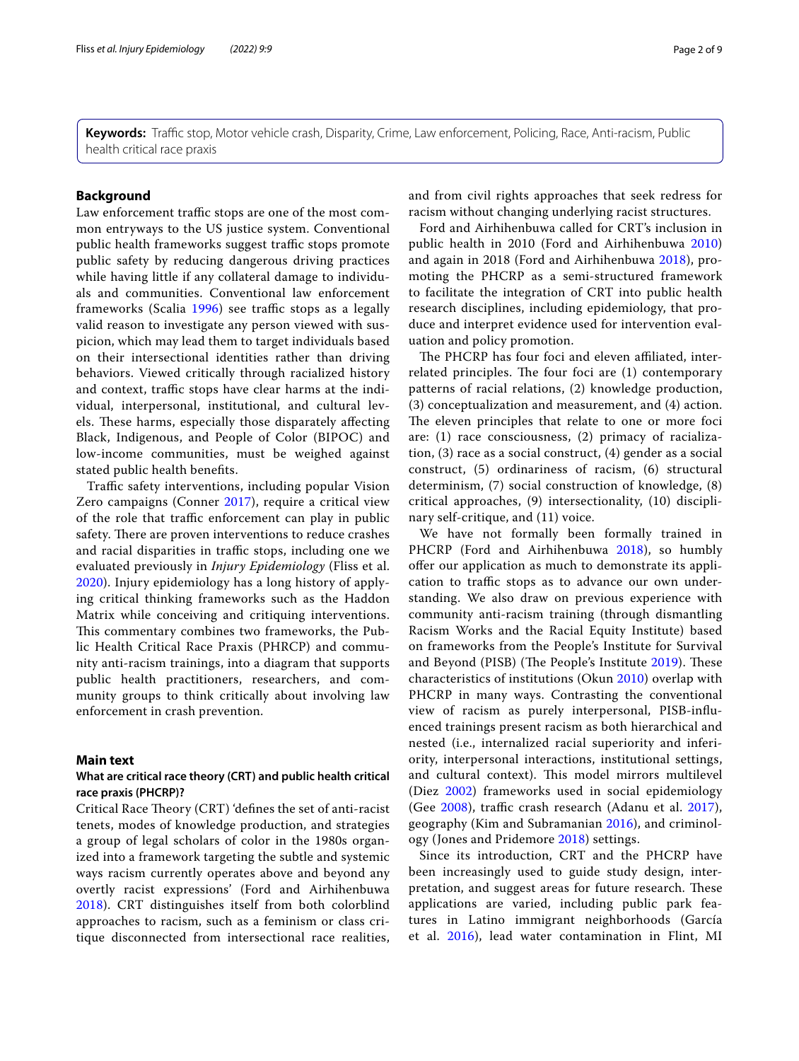**Keywords:** Traffic stop, Motor vehicle crash, Disparity, Crime, Law enforcement, Policing, Race, Anti-racism, Public health critical race praxis

# **Background**

Law enforcement traffic stops are one of the most common entryways to the US justice system. Conventional public health frameworks suggest traffic stops promote public safety by reducing dangerous driving practices while having little if any collateral damage to individuals and communities. Conventional law enforcement frameworks (Scalia [1996](#page-8-0)) see traffic stops as a legally valid reason to investigate any person viewed with suspicion, which may lead them to target individuals based on their intersectional identities rather than driving behaviors. Viewed critically through racialized history and context, traffic stops have clear harms at the individual, interpersonal, institutional, and cultural levels. These harms, especially those disparately affecting Black, Indigenous, and People of Color (BIPOC) and low-income communities, must be weighed against stated public health benefts.

Traffic safety interventions, including popular Vision Zero campaigns (Conner [2017](#page-7-0)), require a critical view of the role that traffic enforcement can play in public safety. There are proven interventions to reduce crashes and racial disparities in traffic stops, including one we evaluated previously in *Injury Epidemiology* (Fliss et al. [2020\)](#page-7-1). Injury epidemiology has a long history of applying critical thinking frameworks such as the Haddon Matrix while conceiving and critiquing interventions. This commentary combines two frameworks, the Public Health Critical Race Praxis (PHRCP) and community anti-racism trainings, into a diagram that supports public health practitioners, researchers, and community groups to think critically about involving law enforcement in crash prevention.

#### **Main text**

#### **What are critical race theory (CRT) and public health critical race praxis (PHCRP)?**

Critical Race Theory (CRT) 'defines the set of anti-racist tenets, modes of knowledge production, and strategies a group of legal scholars of color in the 1980s organized into a framework targeting the subtle and systemic ways racism currently operates above and beyond any overtly racist expressions' (Ford and Airhihenbuwa [2018\)](#page-7-2). CRT distinguishes itself from both colorblind approaches to racism, such as a feminism or class critique disconnected from intersectional race realities, and from civil rights approaches that seek redress for racism without changing underlying racist structures.

Ford and Airhihenbuwa called for CRT's inclusion in public health in 2010 (Ford and Airhihenbuwa [2010](#page-7-3)) and again in 2018 (Ford and Airhihenbuwa [2018\)](#page-7-2), promoting the PHCRP as a semi-structured framework to facilitate the integration of CRT into public health research disciplines, including epidemiology, that produce and interpret evidence used for intervention evaluation and policy promotion.

The PHCRP has four foci and eleven affiliated, interrelated principles. The four foci are  $(1)$  contemporary patterns of racial relations, (2) knowledge production, (3) conceptualization and measurement, and (4) action. The eleven principles that relate to one or more foci are: (1) race consciousness, (2) primacy of racialization, (3) race as a social construct, (4) gender as a social construct, (5) ordinariness of racism, (6) structural determinism, (7) social construction of knowledge, (8) critical approaches, (9) intersectionality, (10) disciplinary self-critique, and (11) voice.

We have not formally been formally trained in PHCRP (Ford and Airhihenbuwa [2018\)](#page-7-2), so humbly ofer our application as much to demonstrate its application to traffic stops as to advance our own understanding. We also draw on previous experience with community anti-racism training (through dismantling Racism Works and the Racial Equity Institute) based on frameworks from the People's Institute for Survival and Beyond (PISB) (The People's Institute [2019\)](#page-8-1). These characteristics of institutions (Okun [2010](#page-8-2)) overlap with PHCRP in many ways. Contrasting the conventional view of racism as purely interpersonal, PISB-infuenced trainings present racism as both hierarchical and nested (i.e., internalized racial superiority and inferiority, interpersonal interactions, institutional settings, and cultural context). This model mirrors multilevel (Diez [2002](#page-7-4)) frameworks used in social epidemiology (Gee [2008\)](#page-7-5), traffic crash research (Adanu et al. [2017](#page-7-6)), geography (Kim and Subramanian [2016](#page-8-3)), and criminology (Jones and Pridemore [2018](#page-8-4)) settings.

Since its introduction, CRT and the PHCRP have been increasingly used to guide study design, interpretation, and suggest areas for future research. These applications are varied, including public park features in Latino immigrant neighborhoods (García et al. [2016\)](#page-7-7), lead water contamination in Flint, MI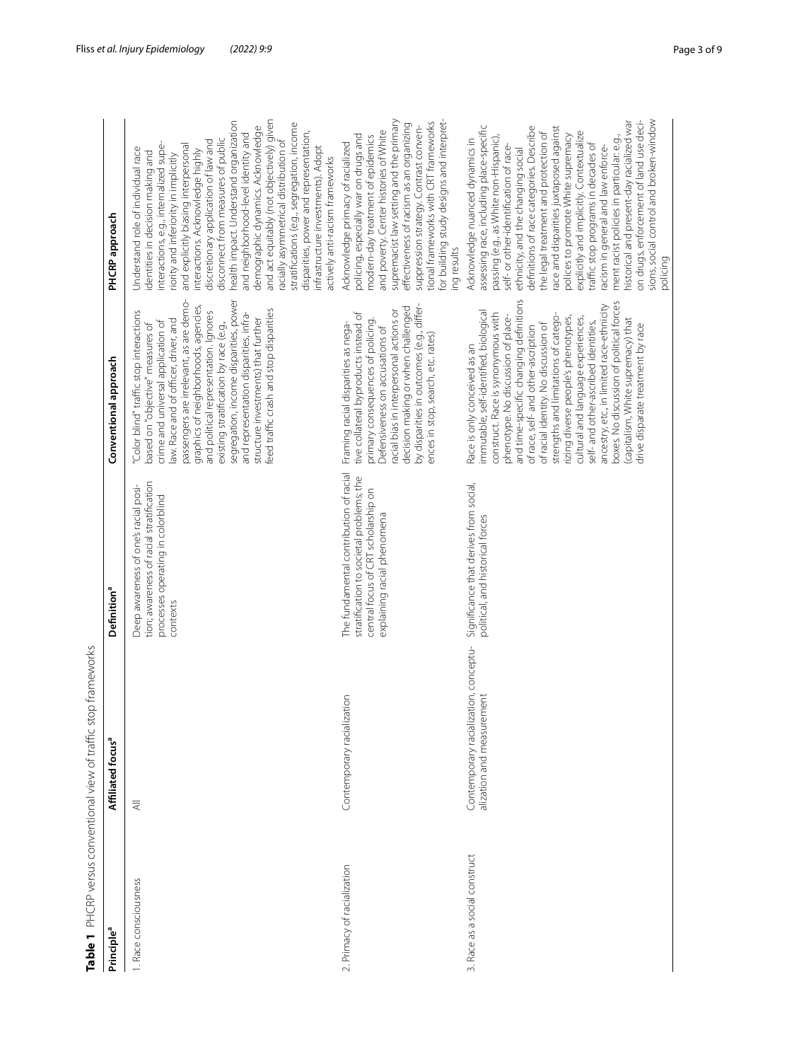<span id="page-2-0"></span>

| Table 1 PHCRP versus conventional view of traffic stop frameworks<br>Principle <sup>a</sup> | Affiliated focus <sup>a</sup>                                      | Definition <sup>a</sup>                                                                                                                                  | Conventional approach                                                                                                                                                                                                                                                                                                                                                                                                                                                                                                                                                                                        | PHCRP approach                                                                                                                                                                                                                                                                                                                                                                                                                                                                                                                                                                                                                                                                                    |
|---------------------------------------------------------------------------------------------|--------------------------------------------------------------------|----------------------------------------------------------------------------------------------------------------------------------------------------------|--------------------------------------------------------------------------------------------------------------------------------------------------------------------------------------------------------------------------------------------------------------------------------------------------------------------------------------------------------------------------------------------------------------------------------------------------------------------------------------------------------------------------------------------------------------------------------------------------------------|---------------------------------------------------------------------------------------------------------------------------------------------------------------------------------------------------------------------------------------------------------------------------------------------------------------------------------------------------------------------------------------------------------------------------------------------------------------------------------------------------------------------------------------------------------------------------------------------------------------------------------------------------------------------------------------------------|
| 1. Race consciousness                                                                       | $\overline{\overline{z}}$                                          | tion; awareness of racial stratification<br>Deep awareness of one's racial posi-<br>processes operating in colorblind<br>contexts                        | passengers are irrelevant, as are demo-<br>segregation, income disparities, power<br>graphics of neighborhoods, agencies,<br>feed traffic crash and stop disparities<br>'Color blind" traffic stop interactions<br>and representation disparities, infra-<br>and political representation. Ignores<br>structure investments) that further<br>law. Race and of officer, driver, and<br>crime and universal application of<br>existing stratification by race (e.g.,<br>based on "objective" measures of                                                                                                       | and act equitably (not objectively) given<br>health impact. Understand organization<br>stratifications (e.g., segregation, income<br>demographic dynamics. Acknowledge<br>disparities, power and representation,<br>and neighborhood-level identity and<br>disconnect from measures of public<br>racially asymmetrical distribution of<br>discretionary application of law and<br>interactions, e.g., internalized supe-<br>and explicitly biasing interpersonal<br>infrastructure investments). Adopt<br>Understand role of individual race<br>interactions. Acknowledge highly<br>identities in decision making and<br>riority and inferiority in implicitly<br>actively anti-racism frameworks |
| 2. Primacy of racialization                                                                 | Contemporary racialization                                         | The fundamental contribution of racial<br>stratification to societal problems; the<br>central focus of CRT scholarship on<br>explaining racial phenomena | by disparities in outcomes (e.g., differ-<br>decision making or when challenged<br>racial bias in interpersonal actions or<br>tive collateral byproducts instead of<br>primary consequences of policing.<br>Framing racial disparities as nega-<br>Defensiveness on accusations of<br>ences in stop, search, etc. rates)                                                                                                                                                                                                                                                                                     | for building study designs and interpret-<br>supremacist law setting and the primary<br>tional frameworks with CRT frameworks<br>effectiveness of racism as an organizing<br>suppression strategy. Contrast conven-<br>and poverty. Center histories of White<br>policing, especially war on drugs and<br>modern-day treatment of epidemics<br>Acknowledge primacy of racialized<br>ing results                                                                                                                                                                                                                                                                                                   |
| 3. Race as a social construct                                                               | Contemporary racialization, conceptu-<br>alization and measurement | Significance that derives from social,<br>political, and historical forces                                                                               | and time-specific changing definitions<br>boxes. No discussion of political forces<br>ancestry, etc., in limited race-ethnicity<br>immutable, self-identified, biological<br>construct. Race is synonymous with<br>phenotype. No discussion of place-<br>strengths and limitations of catego-<br>rizing diverse people's phenotypes,<br>cultural and language experiences,<br>(capitalism, White supremacy) that<br>self- and other-ascribed identities,<br>of racial identity. No discussion of<br>drive disparate treatment by race<br>of race, self- and other-ascription<br>Race is only conceived as an | sions, social control and broken-window<br>historical and present-day racialized war<br>on drugs, enforcement of land use deci-<br>assessing race, including place-specific<br>race and disparities juxtaposed against<br>definitions of race categories. Describe<br>the legal treatment and protection of<br>explicitly and implicitly. Contextualize<br>polices to promote White supremacy<br>passing (e.g., as White non-Hispanic),<br>ment racist policies in particular: e.g.<br>Acknowledge nuanced dynamics in<br>traffic stop programs in decades of<br>self- or other-identification of race-<br>racism in general and law enforce-<br>ethnicity, and the changing social               |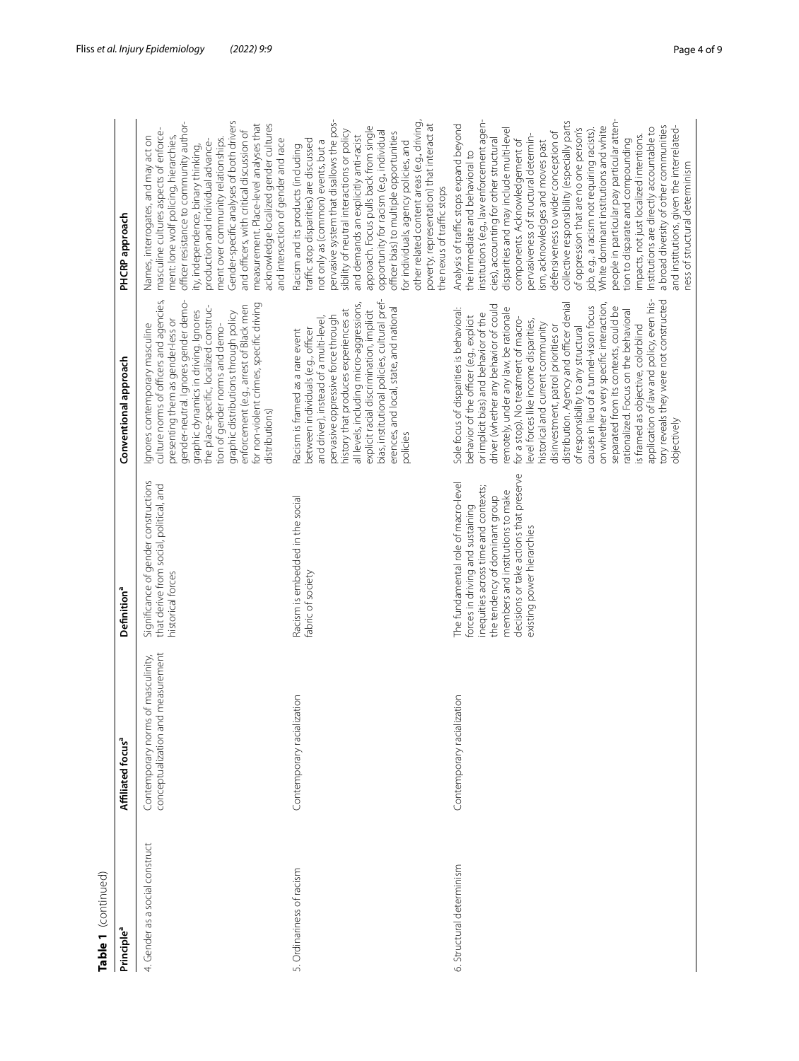| 4. Gender as a social construct<br>Principle <sup>a</sup> |                                                                                  |                                                                                                                                                                                                                                                                |                                                                                                                                                                                                                                                                                                                                                                                                                                                                                                                                                                                                                                                                                                                                                                                |                                                                                                                                                                                                                                                                                                                                                                                                                                                                                                                                                                                                                                                                                                                                                                                                                                                         |
|-----------------------------------------------------------|----------------------------------------------------------------------------------|----------------------------------------------------------------------------------------------------------------------------------------------------------------------------------------------------------------------------------------------------------------|--------------------------------------------------------------------------------------------------------------------------------------------------------------------------------------------------------------------------------------------------------------------------------------------------------------------------------------------------------------------------------------------------------------------------------------------------------------------------------------------------------------------------------------------------------------------------------------------------------------------------------------------------------------------------------------------------------------------------------------------------------------------------------|---------------------------------------------------------------------------------------------------------------------------------------------------------------------------------------------------------------------------------------------------------------------------------------------------------------------------------------------------------------------------------------------------------------------------------------------------------------------------------------------------------------------------------------------------------------------------------------------------------------------------------------------------------------------------------------------------------------------------------------------------------------------------------------------------------------------------------------------------------|
|                                                           | Affiliated focus <sup>a</sup>                                                    | Definition <sup>a</sup>                                                                                                                                                                                                                                        | Conventional approach                                                                                                                                                                                                                                                                                                                                                                                                                                                                                                                                                                                                                                                                                                                                                          | PHCRP approach                                                                                                                                                                                                                                                                                                                                                                                                                                                                                                                                                                                                                                                                                                                                                                                                                                          |
|                                                           | d measurement<br>s of masculinity,<br>Contemporary norms<br>conceptualization an | Significance of gender constructions<br>that derive from social, political, and<br>historical forces                                                                                                                                                           | culture norms of officers and agencies,<br>gender-neutral. Ignores gender demo-<br>for non-violent crimes, specific driving<br>enforcement (e.g., arrest of Black men<br>the place-specific, localized construc-<br>graphic dynamics in driving. Ignores<br>graphic distributions through policy<br>presenting them as gender-less or<br>Ignores contemporary masculine<br>tion of gender norms and demo-<br>distributions)                                                                                                                                                                                                                                                                                                                                                    | officer resistance to community author-<br>Gender-specific analyses of both drivers<br>measurement. Place-level analyses that<br>acknowledge localized gender cultures<br>masculine cultures aspects of enforce-<br>and officers, with critical discussion of<br>Names, interrogates, and may act on<br>ment: lone wolf policing, hierarchies,<br>ment over community relationships.<br>and intersection of gender and race<br>production and individual advance-<br>ity, independence, binary thinking,                                                                                                                                                                                                                                                                                                                                                |
| Ordinariness of racism                                    | Contemporary racialization                                                       | Racism is embedded in the social<br>fabric of society                                                                                                                                                                                                          | bias, institutional policies, cultural pref-<br>all levels, including micro-aggressions,<br>erences, and local, state, and national<br>explicit racial discrimination, implicit<br>history that produces experiences at<br>pervasive oppressive force through<br>and driver), instead of a multi-level,<br>between individuals (e.g., officer<br>Racism is framed as a rare event<br>policies                                                                                                                                                                                                                                                                                                                                                                                  | pervasive system that disallows the pos-<br>other related content areas (e.g., driving,<br>poverty, representation) that interact at<br>approach. Focus pulls back from single<br>sibility of neutral interactions or policy<br>opportunity for racism (e.g., individual<br>officer bias) to multiple opportunities<br>and demands an explicitly anti-racist<br>traffic stop disparities) are discussed<br>not only as (common) events, but a<br>for individuals, agency policies, and<br>Racism and its products (including<br>the nexus of traffic stops                                                                                                                                                                                                                                                                                              |
| Structural determinism<br>Ö                               | Contemporary racialization                                                       | decisions or take actions that preserve<br>The fundamental role of macro-level<br>inequities across time and contexts;<br>members and institutions to make<br>the tendency of dominant group<br>forces in driving and sustaining<br>existing power hierarchies | application of law and policy, even his-<br>tory reveals they were not constructed<br>distribution. Agency and officer denial<br>on whether a very specific interaction,<br>driver (whether any behavior of could<br>causes in lieu of a tunnel-vision focus<br>separated from its contexts, could be<br>remotely, under any law, be rationale<br>Sole focus of disparities is behavioral:<br>rationalized. Focus on the behavioral<br>or implicit bias) and behavior of the<br>behavior of the officer (e.g., explicit<br>for a stop). No treatment of macro-<br>level forces like income disparities,<br>historical and current community<br>is framed as objective, colorblind<br>of responsibility to any structural<br>disinvestment, patrol priorities or<br>objectively | collective responsibility (especially parts<br>people in particular pay particular atten-<br>institutions (e.g., law enforcement agen-<br>Analysis of traffic stops expand beyond<br>White dominant institutions and white<br>a broad diversity of other communities<br>and institutions, given the interrelated-<br>of oppression that are no one person's<br>Institutions are directly accountable to<br>disparities and may include multi-level<br>iob, e.g., a racism not requiring racists).<br>defensiveness to wider conception of<br>pervasiveness of structural determin-<br>impacts, not just localized intentions.<br>tion to disparate and compounding<br>cies), accounting for other structural<br>ism, acknowledges and moves past<br>components. Acknowledgement of<br>the immediate and behavioral to<br>ness of structural determinism |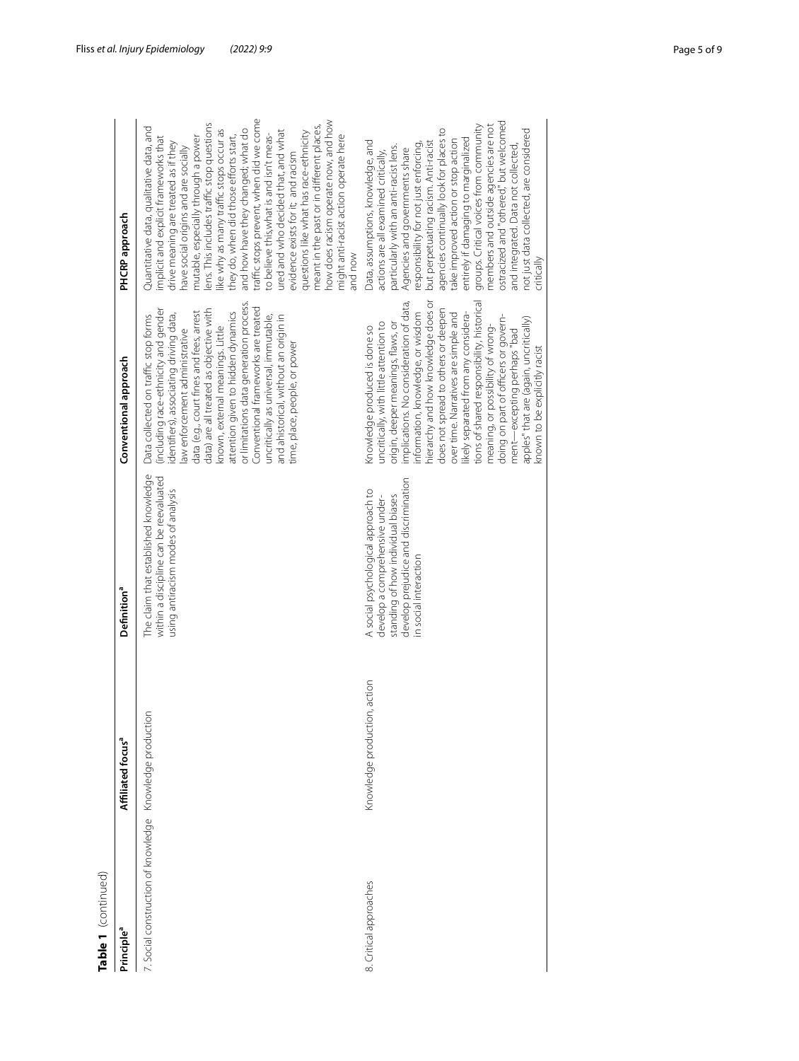| Table 1 (continued)                                      |                               |                                                                                                                                                                            |                                                                                                                                                                                                                                                                                                                                                                                                                                                                                                                                                                                                |                                                                                                                                                                                                                                                                                                                                                                                                                                                                                                                                                                                                                                                                                                                                       |
|----------------------------------------------------------|-------------------------------|----------------------------------------------------------------------------------------------------------------------------------------------------------------------------|------------------------------------------------------------------------------------------------------------------------------------------------------------------------------------------------------------------------------------------------------------------------------------------------------------------------------------------------------------------------------------------------------------------------------------------------------------------------------------------------------------------------------------------------------------------------------------------------|---------------------------------------------------------------------------------------------------------------------------------------------------------------------------------------------------------------------------------------------------------------------------------------------------------------------------------------------------------------------------------------------------------------------------------------------------------------------------------------------------------------------------------------------------------------------------------------------------------------------------------------------------------------------------------------------------------------------------------------|
| Principle <sup>a</sup>                                   | Affiliated focus <sup>a</sup> | Definition <sup>a</sup>                                                                                                                                                    | Conventional approach                                                                                                                                                                                                                                                                                                                                                                                                                                                                                                                                                                          | PHCRP approach                                                                                                                                                                                                                                                                                                                                                                                                                                                                                                                                                                                                                                                                                                                        |
| 7. Social construction of knowledge Knowledge production |                               | The claim that established knowledge<br>within a discipline can be reevaluated<br>using antiracism modes of analysis                                                       | or limitations data generation process.<br>Conventional frameworks are treated<br>(including race-ethnicity and gender<br>data) are all treated as objective with<br>attention given to hidden dynamics<br>data (e.g., court fines and fees, arrest<br>identifiers), associating driving data,<br>Data collected on traffic stop forms<br>uncritically as universal, immutable,<br>and ahistorical, without an origin in<br>known, external meanings. Little<br>aw enforcement administrative<br>time, place, people, or power                                                                 | traffic stops prevent, when did we come<br>now does racism operate now, and how<br>ens. This includes traffic stop questions<br>meant in the past or in different places,<br>Quantitative data, qualitative data, and<br>and how have they changed; what do<br>ike why as many traffic stops occur as<br>ured and who decided that, and what<br>questions like what has race-ethnicity<br>they do, when did those efforts start,<br>to believe this, what is and isn't meas-<br>might anti-racist action operate here<br>mplicit and explicit frameworks that<br>mutable, especially through a power<br>drive meaning are treated as if they<br>have social origins and are socially<br>evidence exists for it; and racism<br>won bne |
| 8. Critical approaches                                   | Knowledge production, action  | develop prejudice and discrimination<br>A social psychological approach to<br>standing of how individual biases<br>develop a comprehensive under-<br>in social interaction | nierarchy and how knowledge does or<br>implications. No consideration of data,<br>tions of shared responsibility, historical<br>does not spread to others or deepen<br>nformation, knowledge, or wisdom<br>ikely separated from any considera-<br>over time. Narratives are simple and<br>doing on part of officers or govern-<br>apples" that are (again, uncritically)<br>uncritically, with little attention to<br>origin, deeper meanings, flaws, or<br>meaning, or possibility of wrong-<br>Knowledge produced is done so<br>ment—excepting perhaps "bad<br>known to be explicitly racist | ostracized and "othered," but welcomed<br>groups. Critical voices from community<br>members and outside agencies are not<br>agencies continually look for places to<br>not just data collected, are considered<br>entirely if damaging to marginalized<br>take improved action or stop action<br>Data, assumptions, knowledge, and<br>but perpetuating racism. Anti-racist<br>esponsibility for not just enforcing,<br>particularly with an anti-racist lens.<br>and integrated. Data not collected<br>Agencies and governments share<br>actions are all examined critically,<br>critically                                                                                                                                           |
|                                                          |                               |                                                                                                                                                                            |                                                                                                                                                                                                                                                                                                                                                                                                                                                                                                                                                                                                |                                                                                                                                                                                                                                                                                                                                                                                                                                                                                                                                                                                                                                                                                                                                       |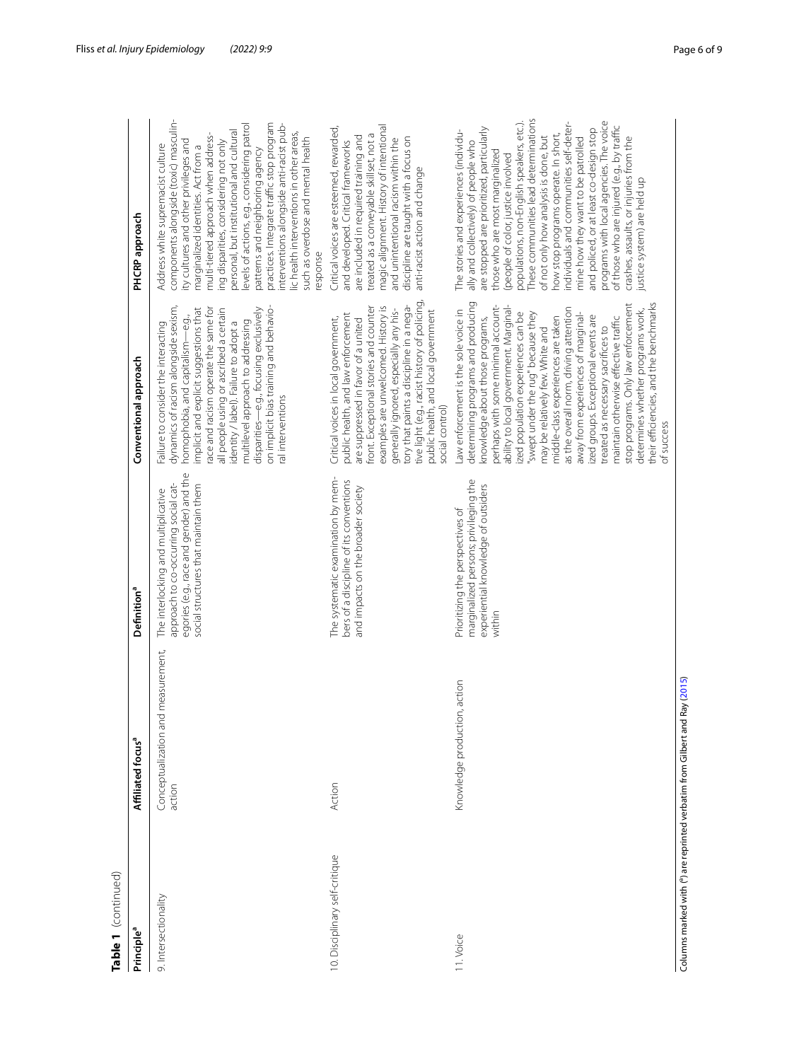| Table 1 (continued)                                                          |                                              |                                                                                                                                                                |                                                                                                                                                                                                                                                                                                                                                                                                                                                                                                                                                                                                                                                                                              |                                                                                                                                                                                                                                                                                                                                                                                                                                                                                                                                                                                                                                                                           |
|------------------------------------------------------------------------------|----------------------------------------------|----------------------------------------------------------------------------------------------------------------------------------------------------------------|----------------------------------------------------------------------------------------------------------------------------------------------------------------------------------------------------------------------------------------------------------------------------------------------------------------------------------------------------------------------------------------------------------------------------------------------------------------------------------------------------------------------------------------------------------------------------------------------------------------------------------------------------------------------------------------------|---------------------------------------------------------------------------------------------------------------------------------------------------------------------------------------------------------------------------------------------------------------------------------------------------------------------------------------------------------------------------------------------------------------------------------------------------------------------------------------------------------------------------------------------------------------------------------------------------------------------------------------------------------------------------|
| Principle <sup>a</sup>                                                       | Affiliated focus <sup>a</sup>                | Definition <sup>a</sup>                                                                                                                                        | Conventional approach                                                                                                                                                                                                                                                                                                                                                                                                                                                                                                                                                                                                                                                                        | PHCRP approach                                                                                                                                                                                                                                                                                                                                                                                                                                                                                                                                                                                                                                                            |
| 9. Intersectionality                                                         | Conceptualization and measurement,<br>action | egories (e.g., race and gender) and the<br>social structures that maintain them<br>approach to co-occurring social cat-<br>The interlocking and multiplicative | on implicit bias training and behavio-<br>dynamics of racism alongside sexism,<br>implicit and explicit suggestions that<br>race and racism operate the same for<br>disparities—e.g., focusing exclusively<br>all people using or ascribed a certain<br>identity / label). Failure to adopt a<br>homophobia, and capitalism-e.g.,<br>multilevel approach to addressing<br>Failure to consider the interacting<br>ral interventions                                                                                                                                                                                                                                                           | components alongside (toxic) masculin-<br>practices. Integrate traffic stop program<br>interventions alongside anti-racist pub-<br>evels of actions, e.g., considering patrol<br>personal, but institutional and cultural<br>lic health interventions in other areas,<br>multi-tiered approach when address-<br>such as overdose and mental health<br>ity cultures and other privileges and<br>ing disparities, considering not only<br>Address white supremacist culture<br>marginalized identities. Act from a<br>patterns and neighboring agency<br>esponse                                                                                                            |
| 10. Disciplinary self-critique                                               | Action                                       | The systematic examination by mem-<br>bers of a discipline of its conventions<br>and impacts on the broader society                                            | tive light (e.g., racist history of policing,<br>tory that paints a discipline in a nega-<br>front. Exceptional stories and counter<br>examples are unwelcomed. History is<br>generally ignored, especially any his-<br>public health, and local government<br>public health, and law enforcement<br>Critical voices in local government,<br>are suppressed in favor of a united<br>social control)                                                                                                                                                                                                                                                                                          | magic alignment. History of intentional<br>Critical voices are esteemed, rewarded,<br>treated as a conveyable skillset, not a<br>are included in required training and<br>discipline are taught with a focus on<br>and unintentional racism within the<br>and developed. Critical frameworks<br>anti-racist action and change                                                                                                                                                                                                                                                                                                                                             |
| 1. Voice                                                                     | Knowledge production, action                 | marginalized persons; privileging the<br>experiential knowledge of outsiders<br>Prioritizing the perspectives of<br>within                                     | determining programs and producing<br>stop programs. Only law enforcement<br>their efficiencies, and the benchmarks<br>perhaps with some minimal account-<br>ability to local government. Marginal-<br>Law enforcement is the sole voice in<br>as the overall norm, driving attention<br>determines whether programs work,<br>'swept under the rug" because they<br>ized population experiences can be<br>away from experiences of marginal-<br>ized groups. Exceptional events are<br>middle-class experiences are taken<br>maintain otherwise effective traffic<br>knowledge about those programs,<br>treated as necessary sacrifices to<br>may be relatively few. White and<br>of success | These communities lead determinations<br>programs with local agencies. The voice<br>populations, non-English speakers, etc.).<br>individuals and communities self-deter-<br>of those who are injured (e.g., by traffic<br>are stopped are prioritized, particularly<br>and policed, or at least co-design stop<br>The stories and experiences (individu-<br>how stop programs operate. In short,<br>of not only how analysis is done, but<br>crashes, assaults, or injuries from the<br>mine how they want to be patrolled<br>ally and collectively) of people who<br>those who are most marginalized<br>(people of color, justice involved<br>ustice system) are held up |
| Columns marked with ( <sup>a</sup> ) are reprinted verbatim from Gilbert and | Ray (2015)                                   |                                                                                                                                                                |                                                                                                                                                                                                                                                                                                                                                                                                                                                                                                                                                                                                                                                                                              |                                                                                                                                                                                                                                                                                                                                                                                                                                                                                                                                                                                                                                                                           |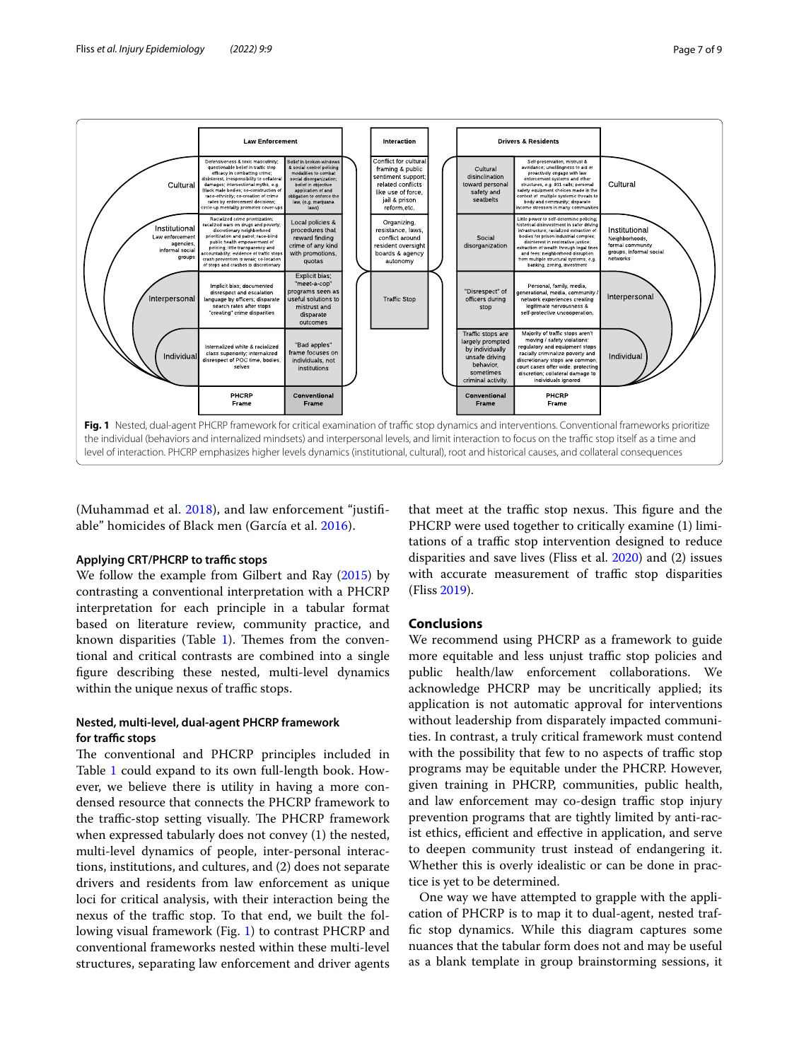

<span id="page-6-0"></span>(Muhammad et al. [2018\)](#page-8-6), and law enforcement "justifiable" homicides of Black men (García et al. [2016\)](#page-7-7).

#### **Applying CRT/PHCRP to traffic stops**

We follow the example from Gilbert and Ray [\(2015](#page-8-5)) by contrasting a conventional interpretation with a PHCRP interpretation for each principle in a tabular format based on literature review, community practice, and known disparities (Table  $1$ ). Themes from the conventional and critical contrasts are combined into a single fgure describing these nested, multi-level dynamics within the unique nexus of traffic stops.

### **Nested, multi‑level, dual‑agent PHCRP framework**  for traffic stops

The conventional and PHCRP principles included in Table [1](#page-2-0) could expand to its own full-length book. However, we believe there is utility in having a more condensed resource that connects the PHCRP framework to the traffic-stop setting visually. The PHCRP framework when expressed tabularly does not convey (1) the nested, multi-level dynamics of people, inter-personal interactions, institutions, and cultures, and (2) does not separate drivers and residents from law enforcement as unique loci for critical analysis, with their interaction being the nexus of the traffic stop. To that end, we built the following visual framework (Fig. [1\)](#page-6-0) to contrast PHCRP and conventional frameworks nested within these multi-level structures, separating law enforcement and driver agents

that meet at the traffic stop nexus. This figure and the PHCRP were used together to critically examine (1) limitations of a traffic stop intervention designed to reduce disparities and save lives (Fliss et al. [2020](#page-7-1)) and (2) issues with accurate measurement of traffic stop disparities (Fliss [2019\)](#page-7-8).

# **Conclusions**

We recommend using PHCRP as a framework to guide more equitable and less unjust traffic stop policies and public health/law enforcement collaborations. We acknowledge PHCRP may be uncritically applied; its application is not automatic approval for interventions without leadership from disparately impacted communities. In contrast, a truly critical framework must contend with the possibility that few to no aspects of traffic stop programs may be equitable under the PHCRP. However, given training in PHCRP, communities, public health, and law enforcement may co-design traffic stop injury prevention programs that are tightly limited by anti-racist ethics, efficient and effective in application, and serve to deepen community trust instead of endangering it. Whether this is overly idealistic or can be done in practice is yet to be determined.

One way we have attempted to grapple with the application of PHCRP is to map it to dual-agent, nested traffc stop dynamics. While this diagram captures some nuances that the tabular form does not and may be useful as a blank template in group brainstorming sessions, it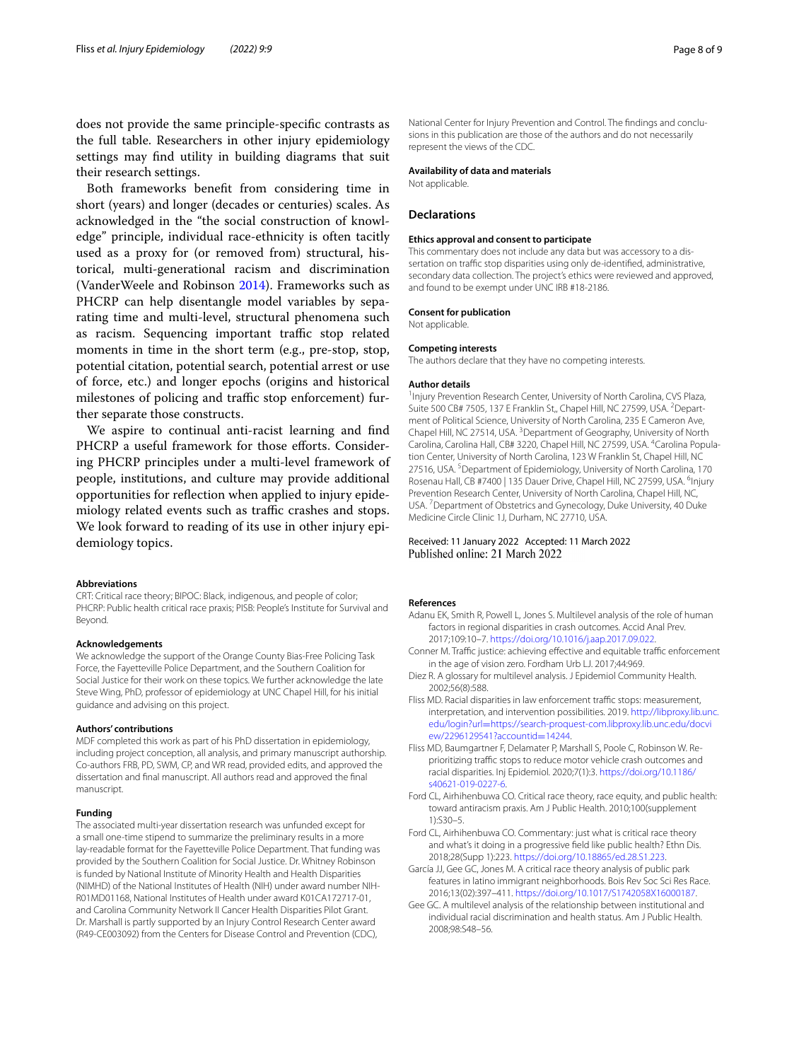does not provide the same principle-specifc contrasts as the full table. Researchers in other injury epidemiology settings may fnd utility in building diagrams that suit their research settings.

Both frameworks beneft from considering time in short (years) and longer (decades or centuries) scales. As acknowledged in the "the social construction of knowledge" principle, individual race-ethnicity is often tacitly used as a proxy for (or removed from) structural, historical, multi-generational racism and discrimination (VanderWeele and Robinson [2014\)](#page-8-7). Frameworks such as PHCRP can help disentangle model variables by separating time and multi-level, structural phenomena such as racism. Sequencing important traffic stop related moments in time in the short term (e.g., pre-stop, stop, potential citation, potential search, potential arrest or use of force, etc.) and longer epochs (origins and historical milestones of policing and traffic stop enforcement) further separate those constructs.

We aspire to continual anti-racist learning and fnd PHCRP a useful framework for those efforts. Considering PHCRP principles under a multi-level framework of people, institutions, and culture may provide additional opportunities for refection when applied to injury epidemiology related events such as traffic crashes and stops. We look forward to reading of its use in other injury epidemiology topics.

#### **Abbreviations**

CRT: Critical race theory; BIPOC: Black, indigenous, and people of color; PHCRP: Public health critical race praxis; PISB: People's Institute for Survival and Beyond.

#### **Acknowledgements**

We acknowledge the support of the Orange County Bias-Free Policing Task Force, the Fayetteville Police Department, and the Southern Coalition for Social Justice for their work on these topics. We further acknowledge the late Steve Wing, PhD, professor of epidemiology at UNC Chapel Hill, for his initial guidance and advising on this project.

#### **Authors' contributions**

MDF completed this work as part of his PhD dissertation in epidemiology, including project conception, all analysis, and primary manuscript authorship. Co-authors FRB, PD, SWM, CP, and WR read, provided edits, and approved the dissertation and fnal manuscript. All authors read and approved the fnal manuscript.

#### **Funding**

The associated multi-year dissertation research was unfunded except for a small one-time stipend to summarize the preliminary results in a more lay-readable format for the Fayetteville Police Department. That funding was provided by the Southern Coalition for Social Justice. Dr. Whitney Robinson is funded by National Institute of Minority Health and Health Disparities (NIMHD) of the National Institutes of Health (NIH) under award number NIH-R01MD01168, National Institutes of Health under award K01CA172717-01, and Carolina Community Network II Cancer Health Disparities Pilot Grant. Dr. Marshall is partly supported by an Injury Control Research Center award (R49-CE003092) from the Centers for Disease Control and Prevention (CDC),

National Center for Injury Prevention and Control. The fndings and conclusions in this publication are those of the authors and do not necessarily represent the views of the CDC.

#### **Availability of data and materials**

Not applicable.

#### **Declarations**

#### **Ethics approval and consent to participate**

This commentary does not include any data but was accessory to a dissertation on traffic stop disparities using only de-identified, administrative, secondary data collection. The project's ethics were reviewed and approved, and found to be exempt under UNC IRB #18-2186.

#### **Consent for publication** Not applicable.

#### **Competing interests**

The authors declare that they have no competing interests.

#### **Author details**

<sup>1</sup> Injury Prevention Research Center, University of North Carolina, CVS Plaza, Suite 500 CB# 7505, 137 E Franklin St., Chapel Hill, NC 27599, USA. <sup>2</sup> Department of Political Science, University of North Carolina, 235 E Cameron Ave, Chapel Hill, NC 27514, USA.<sup>3</sup> Department of Geography, University of North Carolina, Carolina Hall, CB# 3220, Chapel Hill, NC 27599, USA. <sup>4</sup>Carolina Population Center, University of North Carolina, 123 W Franklin St, Chapel Hill, NC 27516, USA.<sup>5</sup> Department of Epidemiology, University of North Carolina, 170 Rosenau Hall, CB #7400 | 135 Dauer Drive, Chapel Hill, NC 27599, USA. <sup>6</sup>Injury Prevention Research Center, University of North Carolina, Chapel Hill, NC, USA. 7 Department of Obstetrics and Gynecology, Duke University, 40 Duke Medicine Circle Clinic 1J, Durham, NC 27710, USA.

# Received: 11 January 2022 Accepted: 11 March 2022

#### **References**

- <span id="page-7-6"></span>Adanu EK, Smith R, Powell L, Jones S. Multilevel analysis of the role of human factors in regional disparities in crash outcomes. Accid Anal Prev. 2017;109:10–7. [https://doi.org/10.1016/j.aap.2017.09.022.](https://doi.org/10.1016/j.aap.2017.09.022)
- <span id="page-7-0"></span>Conner M. Traffic justice: achieving effective and equitable traffic enforcement in the age of vision zero. Fordham Urb LJ. 2017;44:969.
- <span id="page-7-4"></span>Diez R. A glossary for multilevel analysis. J Epidemiol Community Health. 2002;56(8):588.
- <span id="page-7-8"></span>Fliss MD. Racial disparities in law enforcement traffic stops: measurement, interpretation, and intervention possibilities. 2019. [http://libproxy.lib.unc.](http://libproxy.lib.unc.edu/login?url=https://search-proquest-com.libproxy.lib.unc.edu/docview/2296129541?accountid=14244) edu/login?url=[https://search-proquest-com.libproxy.lib.unc.edu/docvi](http://libproxy.lib.unc.edu/login?url=https://search-proquest-com.libproxy.lib.unc.edu/docview/2296129541?accountid=14244) [ew/2296129541?accountid](http://libproxy.lib.unc.edu/login?url=https://search-proquest-com.libproxy.lib.unc.edu/docview/2296129541?accountid=14244)=14244.
- <span id="page-7-1"></span>Fliss MD, Baumgartner F, Delamater P, Marshall S, Poole C, Robinson W. Reprioritizing traffic stops to reduce motor vehicle crash outcomes and racial disparities. Inj Epidemiol. 2020;7(1):3. [https://doi.org/10.1186/](https://doi.org/10.1186/s40621-019-0227-6) [s40621-019-0227-6.](https://doi.org/10.1186/s40621-019-0227-6)
- <span id="page-7-3"></span>Ford CL, Airhihenbuwa CO. Critical race theory, race equity, and public health: toward antiracism praxis. Am J Public Health. 2010;100(supplement 1):S30–5.
- <span id="page-7-2"></span>Ford CL, Airhihenbuwa CO. Commentary: just what is critical race theory and what's it doing in a progressive feld like public health? Ethn Dis. 2018;28(Supp 1):223. [https://doi.org/10.18865/ed.28.S1.223.](https://doi.org/10.18865/ed.28.S1.223)
- <span id="page-7-7"></span>García JJ, Gee GC, Jones M. A critical race theory analysis of public park features in latino immigrant neighborhoods. Bois Rev Soc Sci Res Race. 2016;13(02):397–411. [https://doi.org/10.1017/S1742058X16000187.](https://doi.org/10.1017/S1742058X16000187)
- <span id="page-7-5"></span>Gee GC. A multilevel analysis of the relationship between institutional and individual racial discrimination and health status. Am J Public Health. 2008;98:S48–56.